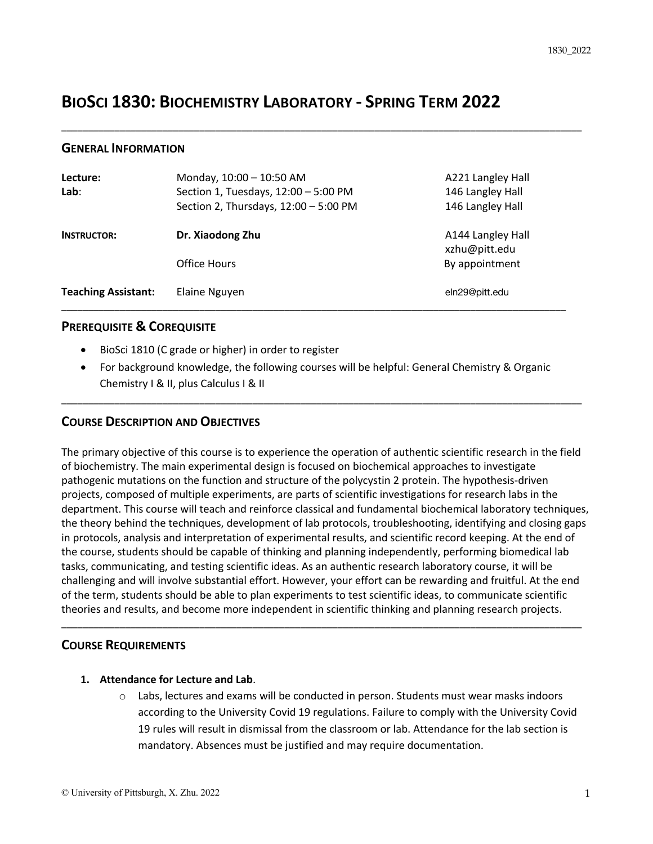# **BIOSCI 1830: BIOCHEMISTRY LABORATORY - SPRING TERM 2022**

#### **GENERAL INFORMATION**

| Lecture:<br>Lab:           | Monday, 10:00 - 10:50 AM<br>Section 1, Tuesdays, 12:00 - 5:00 PM<br>Section 2, Thursdays, 12:00 - 5:00 PM | A221 Langley Hall<br>146 Langley Hall<br>146 Langley Hall |
|----------------------------|-----------------------------------------------------------------------------------------------------------|-----------------------------------------------------------|
| <b>INSTRUCTOR:</b>         | Dr. Xiaodong Zhu                                                                                          | A144 Langley Hall<br>xzhu@pitt.edu                        |
|                            | Office Hours                                                                                              | By appointment                                            |
| <b>Teaching Assistant:</b> | Elaine Nguyen                                                                                             | eln29@pitt.edu                                            |

\_\_\_\_\_\_\_\_\_\_\_\_\_\_\_\_\_\_\_\_\_\_\_\_\_\_\_\_\_\_\_\_\_\_\_\_\_\_\_\_\_\_\_\_\_\_\_\_\_\_\_\_\_\_\_\_\_\_\_\_\_\_\_\_\_\_\_\_\_\_\_\_\_\_\_\_\_\_\_\_\_\_\_\_\_\_\_\_\_\_\_\_\_\_\_\_\_\_

#### **PREREQUISITE & COREQUISITE**

- BioSci 1810 (C grade or higher) in order to register
- For background knowledge, the following courses will be helpful: General Chemistry & Organic Chemistry I & II, plus Calculus I & II

\_\_\_\_\_\_\_\_\_\_\_\_\_\_\_\_\_\_\_\_\_\_\_\_\_\_\_\_\_\_\_\_\_\_\_\_\_\_\_\_\_\_\_\_\_\_\_\_\_\_\_\_\_\_\_\_\_\_\_\_\_\_\_\_\_\_\_\_\_\_\_\_\_\_\_\_\_\_\_\_\_\_\_\_\_\_\_\_\_\_\_\_\_\_\_\_\_\_

#### **COURSE DESCRIPTION AND OBJECTIVES**

The primary objective of this course is to experience the operation of authentic scientific research in the field of biochemistry. The main experimental design is focused on biochemical approaches to investigate pathogenic mutations on the function and structure of the polycystin 2 protein. The hypothesis-driven projects, composed of multiple experiments, are parts of scientific investigations for research labs in the department. This course will teach and reinforce classical and fundamental biochemical laboratory techniques, the theory behind the techniques, development of lab protocols, troubleshooting, identifying and closing gaps in protocols, analysis and interpretation of experimental results, and scientific record keeping. At the end of the course, students should be capable of thinking and planning independently, performing biomedical lab tasks, communicating, and testing scientific ideas. As an authentic research laboratory course, it will be challenging and will involve substantial effort. However, your effort can be rewarding and fruitful. At the end of the term, students should be able to plan experiments to test scientific ideas, to communicate scientific theories and results, and become more independent in scientific thinking and planning research projects.

\_\_\_\_\_\_\_\_\_\_\_\_\_\_\_\_\_\_\_\_\_\_\_\_\_\_\_\_\_\_\_\_\_\_\_\_\_\_\_\_\_\_\_\_\_\_\_\_\_\_\_\_\_\_\_\_\_\_\_\_\_\_\_\_\_\_\_\_\_\_\_\_\_\_\_\_\_\_\_\_\_\_\_\_\_\_\_\_\_\_\_\_\_\_\_\_\_\_

#### **COURSE REQUIREMENTS**

#### **1. Attendance for Lecture and Lab**.

 $\circ$  Labs, lectures and exams will be conducted in person. Students must wear masks indoors according to the University Covid 19 regulations. Failure to comply with the University Covid 19 rules will result in dismissal from the classroom or lab. Attendance for the lab section is mandatory. Absences must be justified and may require documentation.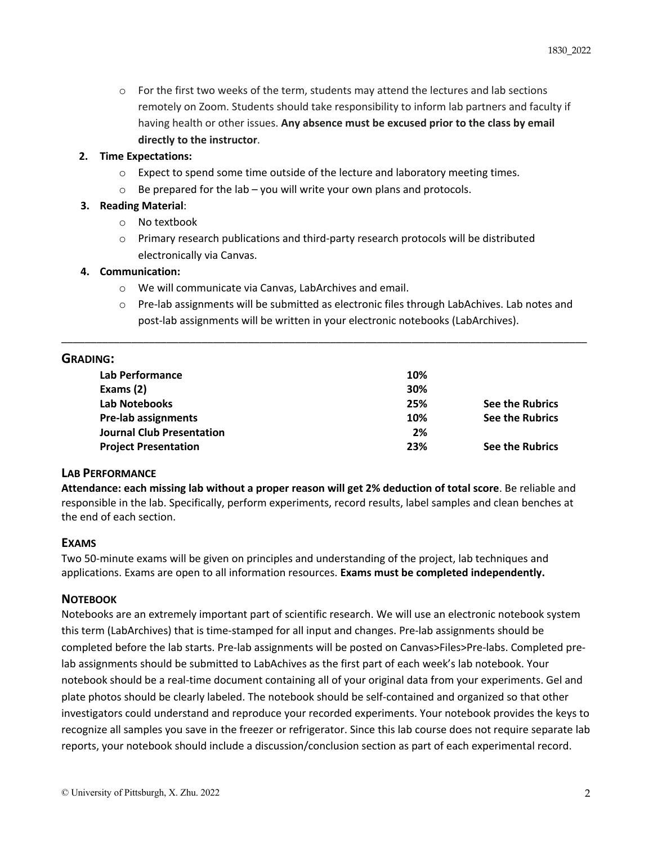$\circ$  For the first two weeks of the term, students may attend the lectures and lab sections remotely on Zoom. Students should take responsibility to inform lab partners and faculty if having health or other issues. **Any absence must be excused prior to the class by email directly to the instructor**.

#### **2. Time Expectations:**

- $\circ$  Expect to spend some time outside of the lecture and laboratory meeting times.
- $\circ$  Be prepared for the lab you will write your own plans and protocols.

### **3. Reading Material**:

- o No textbook
- o Primary research publications and third-party research protocols will be distributed electronically via Canvas.

#### **4. Communication:**

- o We will communicate via Canvas, LabArchives and email.
- o Pre-lab assignments will be submitted as electronic files through LabAchives. Lab notes and post-lab assignments will be written in your electronic notebooks (LabArchives).

## **GRADING:**

| .                                |     |                 |
|----------------------------------|-----|-----------------|
| <b>Lab Performance</b>           | 10% |                 |
| Exams (2)                        | 30% |                 |
| Lab Notebooks                    | 25% | See the Rubrics |
| <b>Pre-lab assignments</b>       | 10% | See the Rubrics |
| <b>Journal Club Presentation</b> | 2%  |                 |
| <b>Project Presentation</b>      | 23% | See the Rubrics |
|                                  |     |                 |

\_\_\_\_\_\_\_\_\_\_\_\_\_\_\_\_\_\_\_\_\_\_\_\_\_\_\_\_\_\_\_\_\_\_\_\_\_\_\_\_\_\_\_\_\_\_\_\_\_\_\_\_\_\_\_\_\_\_\_\_\_\_\_\_\_\_\_\_\_\_\_\_\_\_\_\_\_\_\_\_\_\_\_\_\_\_\_\_\_\_

## **LAB PERFORMANCE**

**Attendance: each missing lab without a proper reason will get 2% deduction of total score**. Be reliable and responsible in the lab. Specifically, perform experiments, record results, label samples and clean benches at the end of each section.

#### **EXAMS**

Two 50-minute exams will be given on principles and understanding of the project, lab techniques and applications. Exams are open to all information resources. **Exams must be completed independently.** 

#### **NOTEBOOK**

Notebooks are an extremely important part of scientific research. We will use an electronic notebook system this term (LabArchives) that is time-stamped for all input and changes. Pre-lab assignments should be completed before the lab starts. Pre-lab assignments will be posted on Canvas>Files>Pre-labs. Completed prelab assignments should be submitted to LabAchives as the first part of each week's lab notebook. Your notebook should be a real-time document containing all of your original data from your experiments. Gel and plate photos should be clearly labeled. The notebook should be self-contained and organized so that other investigators could understand and reproduce your recorded experiments. Your notebook provides the keys to recognize all samples you save in the freezer or refrigerator. Since this lab course does not require separate lab reports, your notebook should include a discussion/conclusion section as part of each experimental record.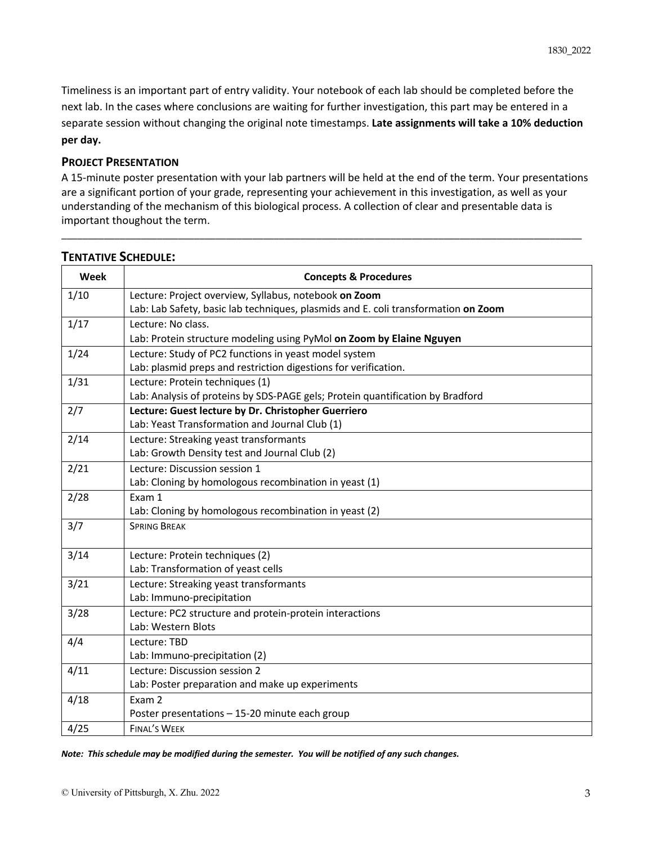Timeliness is an important part of entry validity. Your notebook of each lab should be completed before the next lab. In the cases where conclusions are waiting for further investigation, this part may be entered in a separate session without changing the original note timestamps. **Late assignments will take a 10% deduction per day.** 

#### **PROJECT PRESENTATION**

A 15-minute poster presentation with your lab partners will be held at the end of the term. Your presentations are a significant portion of your grade, representing your achievement in this investigation, as well as your understanding of the mechanism of this biological process. A collection of clear and presentable data is important thoughout the term.

\_\_\_\_\_\_\_\_\_\_\_\_\_\_\_\_\_\_\_\_\_\_\_\_\_\_\_\_\_\_\_\_\_\_\_\_\_\_\_\_\_\_\_\_\_\_\_\_\_\_\_\_\_\_\_\_\_\_\_\_\_\_\_\_\_\_\_\_\_\_\_\_\_\_\_\_\_\_\_\_\_\_\_\_\_\_\_\_\_\_\_\_\_\_\_\_\_\_

| Week | <b>Concepts &amp; Procedures</b>                                                   |
|------|------------------------------------------------------------------------------------|
| 1/10 | Lecture: Project overview, Syllabus, notebook on Zoom                              |
|      | Lab: Lab Safety, basic lab techniques, plasmids and E. coli transformation on Zoom |
| 1/17 | Lecture: No class.                                                                 |
|      | Lab: Protein structure modeling using PyMol on Zoom by Elaine Nguyen               |
| 1/24 | Lecture: Study of PC2 functions in yeast model system                              |
|      | Lab: plasmid preps and restriction digestions for verification.                    |
| 1/31 | Lecture: Protein techniques (1)                                                    |
|      | Lab: Analysis of proteins by SDS-PAGE gels; Protein quantification by Bradford     |
| 2/7  | Lecture: Guest lecture by Dr. Christopher Guerriero                                |
|      | Lab: Yeast Transformation and Journal Club (1)                                     |
| 2/14 | Lecture: Streaking yeast transformants                                             |
|      | Lab: Growth Density test and Journal Club (2)                                      |
| 2/21 | Lecture: Discussion session 1                                                      |
|      | Lab: Cloning by homologous recombination in yeast (1)                              |
| 2/28 | Exam 1                                                                             |
|      | Lab: Cloning by homologous recombination in yeast (2)                              |
| 3/7  | <b>SPRING BREAK</b>                                                                |
| 3/14 | Lecture: Protein techniques (2)                                                    |
|      | Lab: Transformation of yeast cells                                                 |
| 3/21 | Lecture: Streaking yeast transformants                                             |
|      | Lab: Immuno-precipitation                                                          |
| 3/28 | Lecture: PC2 structure and protein-protein interactions                            |
|      | Lab: Western Blots                                                                 |
| 4/4  | Lecture: TBD                                                                       |
|      | Lab: Immuno-precipitation (2)                                                      |
| 4/11 | Lecture: Discussion session 2                                                      |
|      | Lab: Poster preparation and make up experiments                                    |
| 4/18 | Exam 2                                                                             |
|      | Poster presentations - 15-20 minute each group                                     |
| 4/25 | <b>FINAL'S WEEK</b>                                                                |

### **TENTATIVE SCHEDULE:**

*Note: This schedule may be modified during the semester. You will be notified of any such changes.*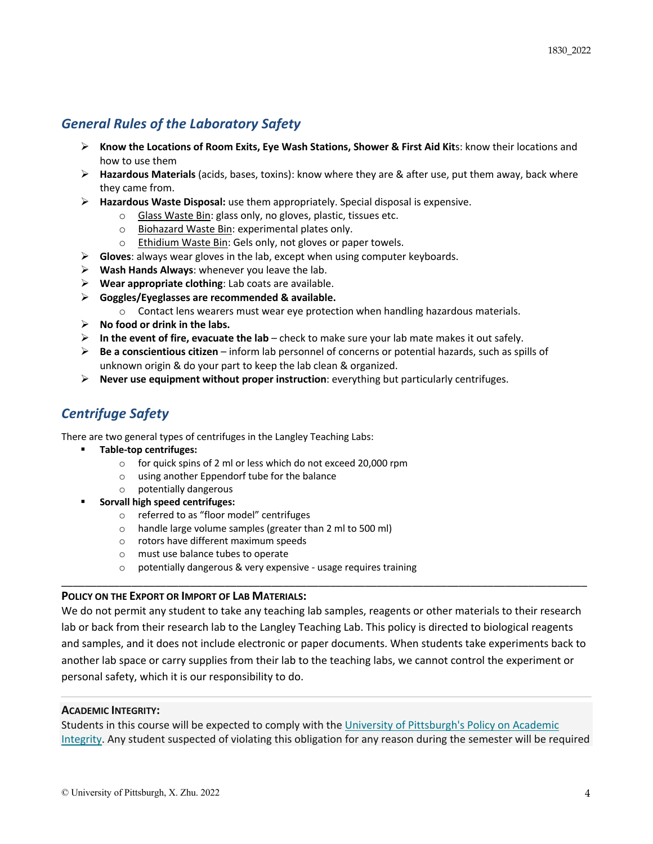# *General Rules of the Laboratory Safety*

- Ø **Know the Locations of Room Exits, Eye Wash Stations, Shower & First Aid Kit**s: know their locations and how to use them
- Ø **Hazardous Materials** (acids, bases, toxins): know where they are & after use, put them away, back where they came from.
- Ø **Hazardous Waste Disposal:** use them appropriately. Special disposal is expensive.
	- o Glass Waste Bin: glass only, no gloves, plastic, tissues etc.
	- o Biohazard Waste Bin: experimental plates only.
	- o Ethidium Waste Bin: Gels only, not gloves or paper towels.
- Ø **Gloves**: always wear gloves in the lab, except when using computer keyboards.
- Ø **Wash Hands Always**: whenever you leave the lab.
- $\triangleright$  **Wear appropriate clothing**: Lab coats are available.
- Ø **Goggles/Eyeglasses are recommended & available.**
	- o Contact lens wearers must wear eye protection when handling hazardous materials.
- Ø **No food or drink in the labs.**
- $\triangleright$  In the event of fire, evacuate the lab check to make sure your lab mate makes it out safely.
- Ø **Be a conscientious citizen**  inform lab personnel of concerns or potential hazards, such as spills of unknown origin & do your part to keep the lab clean & organized.
- Ø **Never use equipment without proper instruction**: everything but particularly centrifuges.

# *Centrifuge Safety*

There are two general types of centrifuges in the Langley Teaching Labs:

- § **Table-top centrifuges:** 
	- o for quick spins of 2 ml or less which do not exceed 20,000 rpm
	- o using another Eppendorf tube for the balance
	- o potentially dangerous
- § **Sorvall high speed centrifuges:** 
	- o referred to as "floor model" centrifuges
	- o handle large volume samples (greater than 2 ml to 500 ml)
	- o rotors have different maximum speeds
	- o must use balance tubes to operate
	- o potentially dangerous & very expensive usage requires training

#### **POLICY ON THE EXPORT OR IMPORT OF LAB MATERIALS:**

We do not permit any student to take any teaching lab samples, reagents or other materials to their research lab or back from their research lab to the Langley Teaching Lab. This policy is directed to biological reagents and samples, and it does not include electronic or paper documents. When students take experiments back to another lab space or carry supplies from their lab to the teaching labs, we cannot control the experiment or personal safety, which it is our responsibility to do.

\_\_\_\_\_\_\_\_\_\_\_\_\_\_\_\_\_\_\_\_\_\_\_\_\_\_\_\_\_\_\_\_\_\_\_\_\_\_\_\_\_\_\_\_\_\_\_\_\_\_\_\_\_\_\_\_\_\_\_\_\_\_\_\_\_\_\_\_\_\_\_\_\_\_\_\_\_\_\_\_\_\_\_\_\_\_\_\_\_\_

#### **ACADEMIC INTEGRITY:**

Students in this course will be expected to comply with the University of Pittsburgh's Policy on Academic Integrity. Any student suspected of violating this obligation for any reason during the semester will be required